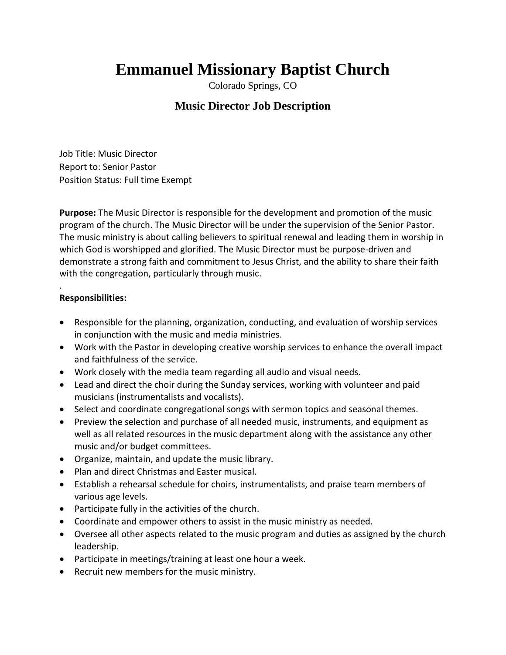# **Emmanuel Missionary Baptist Church**

Colorado Springs, CO

# **Music Director Job Description**

Job Title: Music Director Report to: Senior Pastor Position Status: Full time Exempt

**Purpose:** The Music Director is responsible for the development and promotion of the music program of the church. The Music Director will be under the supervision of the Senior Pastor. The music ministry is about calling believers to spiritual renewal and leading them in worship in which God is worshipped and glorified. The Music Director must be purpose-driven and demonstrate a strong faith and commitment to Jesus Christ, and the ability to share their faith with the congregation, particularly through music.

#### . **Responsibilities:**

- Responsible for the planning, organization, conducting, and evaluation of worship services in conjunction with the music and media ministries.
- Work with the Pastor in developing creative worship services to enhance the overall impact and faithfulness of the service.
- Work closely with the media team regarding all audio and visual needs.
- Lead and direct the choir during the Sunday services, working with volunteer and paid musicians (instrumentalists and vocalists).
- Select and coordinate congregational songs with sermon topics and seasonal themes.
- Preview the selection and purchase of all needed music, instruments, and equipment as well as all related resources in the music department along with the assistance any other music and/or budget committees.
- Organize, maintain, and update the music library.
- Plan and direct Christmas and Easter musical.
- Establish a rehearsal schedule for choirs, instrumentalists, and praise team members of various age levels.
- Participate fully in the activities of the church.
- Coordinate and empower others to assist in the music ministry as needed.
- Oversee all other aspects related to the music program and duties as assigned by the church leadership.
- Participate in meetings/training at least one hour a week.
- Recruit new members for the music ministry.